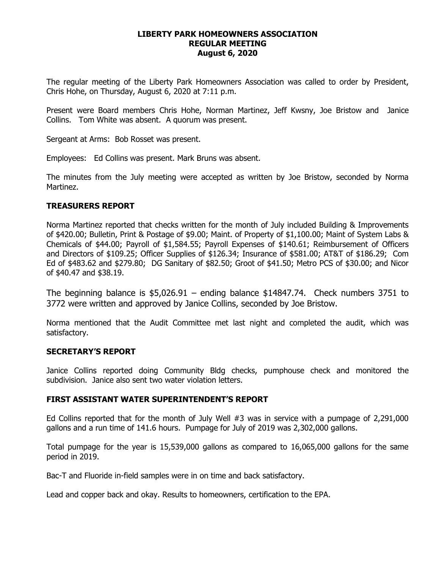#### **LIBERTY PARK HOMEOWNERS ASSOCIATION REGULAR MEETING August 6, 2020**

The regular meeting of the Liberty Park Homeowners Association was called to order by President, Chris Hohe, on Thursday, August 6, 2020 at 7:11 p.m.

Present were Board members Chris Hohe, Norman Martinez, Jeff Kwsny, Joe Bristow and Janice Collins. Tom White was absent. A quorum was present.

Sergeant at Arms: Bob Rosset was present.

Employees: Ed Collins was present. Mark Bruns was absent.

The minutes from the July meeting were accepted as written by Joe Bristow, seconded by Norma Martinez.

# **TREASURERS REPORT**

Norma Martinez reported that checks written for the month of July included Building & Improvements of \$420.00; Bulletin, Print & Postage of \$9.00; Maint. of Property of \$1,100.00; Maint of System Labs & Chemicals of \$44.00; Payroll of \$1,584.55; Payroll Expenses of \$140.61; Reimbursement of Officers and Directors of \$109.25; Officer Supplies of \$126.34; Insurance of \$581.00; AT&T of \$186.29; Com Ed of \$483.62 and \$279.80; DG Sanitary of \$82.50; Groot of \$41.50; Metro PCS of \$30.00; and Nicor of \$40.47 and \$38.19.

The beginning balance is  $$5,026.91$  – ending balance  $$14847.74$ . Check numbers 3751 to 3772 were written and approved by Janice Collins, seconded by Joe Bristow.

Norma mentioned that the Audit Committee met last night and completed the audit, which was satisfactory.

# **SECRETARY'S REPORT**

Janice Collins reported doing Community Bldg checks, pumphouse check and monitored the subdivision. Janice also sent two water violation letters.

# **FIRST ASSISTANT WATER SUPERINTENDENT'S REPORT**

Ed Collins reported that for the month of July Well #3 was in service with a pumpage of 2,291,000 gallons and a run time of 141.6 hours. Pumpage for July of 2019 was 2,302,000 gallons.

Total pumpage for the year is 15,539,000 gallons as compared to 16,065,000 gallons for the same period in 2019.

Bac-T and Fluoride in-field samples were in on time and back satisfactory.

Lead and copper back and okay. Results to homeowners, certification to the EPA.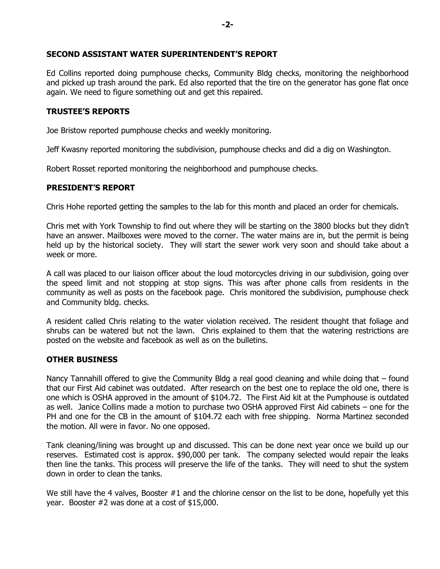# **SECOND ASSISTANT WATER SUPERINTENDENT'S REPORT**

Ed Collins reported doing pumphouse checks, Community Bldg checks, monitoring the neighborhood and picked up trash around the park. Ed also reported that the tire on the generator has gone flat once again. We need to figure something out and get this repaired.

# **TRUSTEE'S REPORTS**

Joe Bristow reported pumphouse checks and weekly monitoring.

Jeff Kwasny reported monitoring the subdivision, pumphouse checks and did a dig on Washington.

Robert Rosset reported monitoring the neighborhood and pumphouse checks.

# **PRESIDENT'S REPORT**

Chris Hohe reported getting the samples to the lab for this month and placed an order for chemicals.

Chris met with York Township to find out where they will be starting on the 3800 blocks but they didn't have an answer. Mailboxes were moved to the corner. The water mains are in, but the permit is being held up by the historical society. They will start the sewer work very soon and should take about a week or more.

A call was placed to our liaison officer about the loud motorcycles driving in our subdivision, going over the speed limit and not stopping at stop signs. This was after phone calls from residents in the community as well as posts on the facebook page. Chris monitored the subdivision, pumphouse check and Community bldg. checks.

A resident called Chris relating to the water violation received. The resident thought that foliage and shrubs can be watered but not the lawn. Chris explained to them that the watering restrictions are posted on the website and facebook as well as on the bulletins.

# **OTHER BUSINESS**

Nancy Tannahill offered to give the Community Bldg a real good cleaning and while doing that – found that our First Aid cabinet was outdated. After research on the best one to replace the old one, there is one which is OSHA approved in the amount of \$104.72. The First Aid kit at the Pumphouse is outdated as well. Janice Collins made a motion to purchase two OSHA approved First Aid cabinets – one for the PH and one for the CB in the amount of \$104.72 each with free shipping. Norma Martinez seconded the motion. All were in favor. No one opposed.

Tank cleaning/lining was brought up and discussed. This can be done next year once we build up our reserves. Estimated cost is approx. \$90,000 per tank. The company selected would repair the leaks then line the tanks. This process will preserve the life of the tanks. They will need to shut the system down in order to clean the tanks.

We still have the 4 valves, Booster #1 and the chlorine censor on the list to be done, hopefully yet this year. Booster #2 was done at a cost of \$15,000.